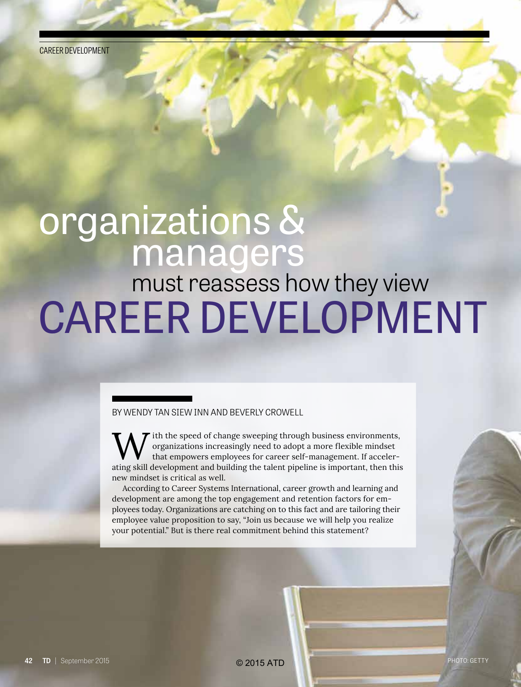CAREER DEVELOPMENT

## organizations & managers

# CAREER DEVELOPMENT must reassess how they view

#### BY WENDY TAN SIEW INN AND BEVERLY CROWELL

ith the speed of change sweeping through business environments, organizations increasingly need to adopt a more flexible mindset that empowers employees for career self-management. If accelerating skill development and building the talent pipeline is important, then this new mindset is critical as well.

According to Career Systems International, career growth and learning and development are among the top engagement and retention factors for employees today. Organizations are catching on to this fact and are tailoring their employee value proposition to say, "Join us because we will help you realize your potential." But is there real commitment behind this statement?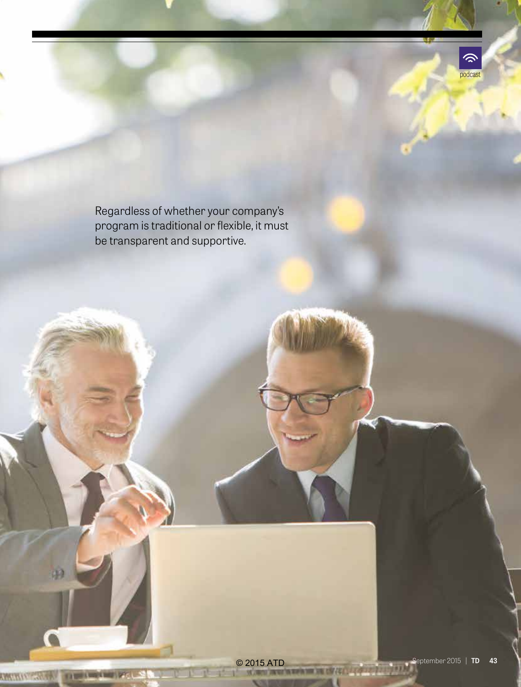

Regardless of whether your company's program is traditional or flexible, it must be transparent and supportive.

**CONTINUES IN THE SECRET PERSON**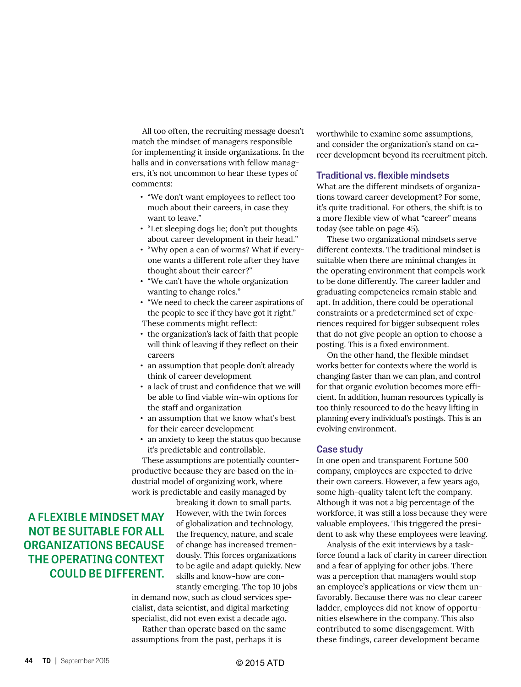All too often, the recruiting message doesn't match the mindset of managers responsible for implementing it inside organizations. In the halls and in conversations with fellow managers, it's not uncommon to hear these types of comments:

- **•** "We don't want employees to reflect too much about their careers, in case they want to leave."
- **•** "Let sleeping dogs lie; don't put thoughts about career development in their head."
- **•** "Why open a can of worms? What if everyone wants a different role after they have thought about their career?"
- **•** "We can't have the whole organization wanting to change roles."
- **•** "We need to check the career aspirations of the people to see if they have got it right." These comments might reflect:
- **•** the organization's lack of faith that people will think of leaving if they reflect on their careers
- **•** an assumption that people don't already think of career development
- **•** a lack of trust and confidence that we will be able to find viable win-win options for the staff and organization
- **•** an assumption that we know what's best for their career development
- **•** an anxiety to keep the status quo because it's predictable and controllable.

These assumptions are potentially counterproductive because they are based on the industrial model of organizing work, where work is predictable and easily managed by

**A FLEXIBLE MINDSET MAY NOT BE SUITABLE FOR ALL ORGANIZATIONS BECAUSE THE OPERATING CONTEXT COULD BE DIFFERENT.** breaking it down to small parts. However, with the twin forces of globalization and technology, the frequency, nature, and scale of change has increased tremendously. This forces organizations to be agile and adapt quickly. New skills and know-how are con-

stantly emerging. The top 10 jobs in demand now, such as cloud services specialist, data scientist, and digital marketing specialist, did not even exist a decade ago.

Rather than operate based on the same assumptions from the past, perhaps it is

worthwhile to examine some assumptions, and consider the organization's stand on career development beyond its recruitment pitch.

#### **Traditional vs. flexible mindsets**

What are the different mindsets of organizations toward career development? For some, it's quite traditional. For others, the shift is to a more flexible view of what "career" means today (see table on page 45).

These two organizational mindsets serve different contexts. The traditional mindset is suitable when there are minimal changes in the operating environment that compels work to be done differently. The career ladder and graduating competencies remain stable and apt. In addition, there could be operational constraints or a predetermined set of experiences required for bigger subsequent roles that do not give people an option to choose a posting. This is a fixed environment.

On the other hand, the flexible mindset works better for contexts where the world is changing faster than we can plan, and control for that organic evolution becomes more efficient. In addition, human resources typically is too thinly resourced to do the heavy lifting in planning every individual's postings. This is an evolving environment.

#### **Case study**

In one open and transparent Fortune 500 company, employees are expected to drive their own careers. However, a few years ago, some high-quality talent left the company. Although it was not a big percentage of the workforce, it was still a loss because they were valuable employees. This triggered the president to ask why these employees were leaving.

Analysis of the exit interviews by a taskforce found a lack of clarity in career direction and a fear of applying for other jobs. There was a perception that managers would stop an employee's applications or view them unfavorably. Because there was no clear career ladder, employees did not know of opportunities elsewhere in the company. This also contributed to some disengagement. With these findings, career development became

**44 TD** | September 2015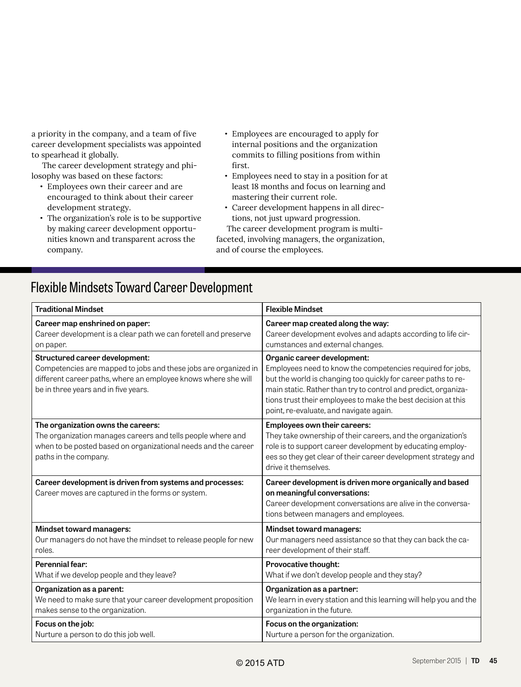a priority in the company, and a team of five career development specialists was appointed to spearhead it globally.

The career development strategy and philosophy was based on these factors:

- **•** Employees own their career and are encouraged to think about their career development strategy.
- **•** The organization's role is to be supportive by making career development opportunities known and transparent across the company.
- **•** Employees are encouraged to apply for internal positions and the organization commits to filling positions from within first.
- **•** Employees need to stay in a position for at least 18 months and focus on learning and mastering their current role.
- **•** Career development happens in all directions, not just upward progression.

The career development program is multifaceted, involving managers, the organization, and of course the employees.

### Flexible Mindsets Toward Career Development

| <b>Traditional Mindset</b>                                                                                                                                                                                  | <b>Flexible Mindset</b>                                                                                                                                                                                                                                                                                                                  |  |
|-------------------------------------------------------------------------------------------------------------------------------------------------------------------------------------------------------------|------------------------------------------------------------------------------------------------------------------------------------------------------------------------------------------------------------------------------------------------------------------------------------------------------------------------------------------|--|
| Career map enshrined on paper:                                                                                                                                                                              | Career map created along the way:                                                                                                                                                                                                                                                                                                        |  |
| Career development is a clear path we can foretell and preserve                                                                                                                                             | Career development evolves and adapts according to life cir-                                                                                                                                                                                                                                                                             |  |
| on paper.                                                                                                                                                                                                   | cumstances and external changes.                                                                                                                                                                                                                                                                                                         |  |
| Structured career development:<br>Competencies are mapped to jobs and these jobs are organized in<br>different career paths, where an employee knows where she will<br>be in three years and in five years. | Organic career development:<br>Employees need to know the competencies required for jobs,<br>but the world is changing too quickly for career paths to re-<br>main static. Rather than try to control and predict, organiza-<br>tions trust their employees to make the best decision at this<br>point, re-evaluate, and navigate again. |  |
| The organization owns the careers:<br>The organization manages careers and tells people where and<br>when to be posted based on organizational needs and the career<br>paths in the company.                | Employees own their careers:<br>They take ownership of their careers, and the organization's<br>role is to support career development by educating employ-<br>ees so they get clear of their career development strategy and<br>drive it themselves.                                                                                     |  |
| Career development is driven from systems and processes:<br>Career moves are captured in the forms or system.                                                                                               | Career development is driven more organically and based<br>on meaningful conversations:<br>Career development conversations are alive in the conversa-<br>tions between managers and employees.                                                                                                                                          |  |
| Mindset toward managers:                                                                                                                                                                                    | Mindset toward managers:                                                                                                                                                                                                                                                                                                                 |  |
| Our managers do not have the mindset to release people for new                                                                                                                                              | Our managers need assistance so that they can back the ca-                                                                                                                                                                                                                                                                               |  |
| roles.                                                                                                                                                                                                      | reer development of their staff.                                                                                                                                                                                                                                                                                                         |  |
| Perennial fear:                                                                                                                                                                                             | Provocative thought:                                                                                                                                                                                                                                                                                                                     |  |
| What if we develop people and they leave?                                                                                                                                                                   | What if we don't develop people and they stay?                                                                                                                                                                                                                                                                                           |  |
| Organization as a parent:                                                                                                                                                                                   | Organization as a partner:                                                                                                                                                                                                                                                                                                               |  |
| We need to make sure that your career development proposition                                                                                                                                               | We learn in every station and this learning will help you and the                                                                                                                                                                                                                                                                        |  |
| makes sense to the organization.                                                                                                                                                                            | organization in the future.                                                                                                                                                                                                                                                                                                              |  |
| Focus on the job:                                                                                                                                                                                           | Focus on the organization:                                                                                                                                                                                                                                                                                                               |  |
| Nurture a person to do this job well.                                                                                                                                                                       | Nurture a person for the organization.                                                                                                                                                                                                                                                                                                   |  |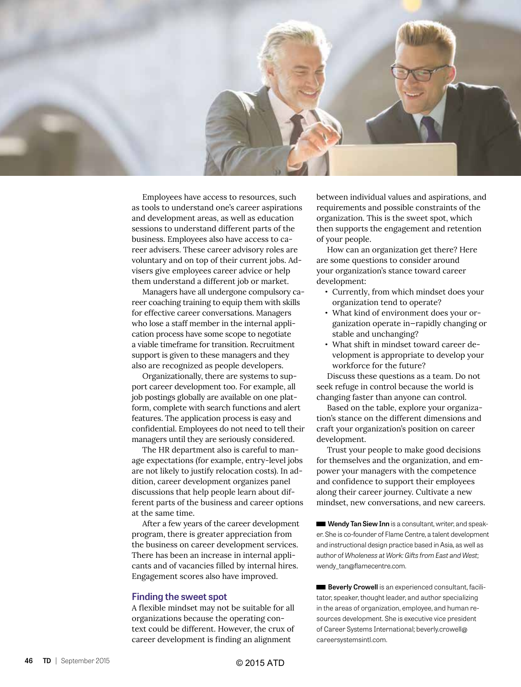

Employees have access to resources, such as tools to understand one's career aspirations and development areas, as well as education sessions to understand different parts of the business. Employees also have access to career advisers. These career advisory roles are voluntary and on top of their current jobs. Advisers give employees career advice or help them understand a different job or market.

Managers have all undergone compulsory career coaching training to equip them with skills for effective career conversations. Managers who lose a staff member in the internal application process have some scope to negotiate a viable timeframe for transition. Recruitment support is given to these managers and they also are recognized as people developers.

Organizationally, there are systems to support career development too. For example, all job postings globally are available on one platform, complete with search functions and alert features. The application process is easy and confidential. Employees do not need to tell their managers until they are seriously considered.

The HR department also is careful to manage expectations (for example, entry-level jobs are not likely to justify relocation costs). In addition, career development organizes panel discussions that help people learn about different parts of the business and career options at the same time.

After a few years of the career development program, there is greater appreciation from the business on career development services. There has been an increase in internal applicants and of vacancies filled by internal hires. Engagement scores also have improved.

#### **Finding the sweet spot**

A flexible mindset may not be suitable for all organizations because the operating context could be different. However, the crux of career development is finding an alignment

between individual values and aspirations, and requirements and possible constraints of the organization. This is the sweet spot, which then supports the engagement and retention of your people.

How can an organization get there? Here are some questions to consider around your organization's stance toward career development:

- **•** Currently, from which mindset does your organization tend to operate?
- **•** What kind of environment does your organization operate in—rapidly changing or stable and unchanging?
- **•** What shift in mindset toward career development is appropriate to develop your workforce for the future?

Discuss these questions as a team. Do not seek refuge in control because the world is changing faster than anyone can control.

Based on the table, explore your organization's stance on the different dimensions and craft your organization's position on career development.

Trust your people to make good decisions for themselves and the organization, and empower your managers with the competence and confidence to support their employees along their career journey. Cultivate a new mindset, new conversations, and new careers.

Wendy Tan Siew Inn is a consultant, writer, and speaker. She is co-founder of Flame Centre, a talent development and instructional design practice based in Asia, as well as author of *Wholeness at Work: Gifts from East and West*; wendy\_tan@flamecentre.com.

**Beverly Crowell** is an experienced consultant, facilitator, speaker, thought leader, and author specializing in the areas of organization, employee, and human resources development. She is executive vice president of Career Systems International; beverly.crowell@ careersystemsintl.com.